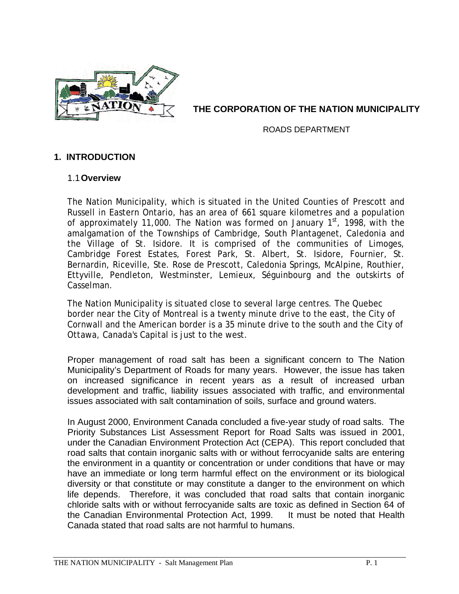

# **THE CORPORATION OF THE NATION MUNICIPALITY**

ROADS DEPARTMENT

# **1. INTRODUCTION**

### 1.1 **Overview**

The Nation Municipality, which is situated in the United Counties of Prescott and Russell in Eastern Ontario, has an area of 661 square kilometres and a population of approximately 11,000. The Nation was formed on January  $1<sup>st</sup>$ , 1998, with the amalgamation of the Townships of Cambridge, South Plantagenet, Caledonia and the Village of St. Isidore. It is comprised of the communities of Limoges, Cambridge Forest Estates, Forest Park, St. Albert, St. Isidore, Fournier, St. Bernardin, Riceville, Ste. Rose de Prescott, Caledonia Springs, McAlpine, Routhier, Ettyville, Pendleton, Westminster, Lemieux, Séguinbourg and the outskirts of Casselman.

The Nation Municipality is situated close to several large centres. The Quebec border near the City of Montreal is a twenty minute drive to the east, the City of Cornwall and the American border is a 35 minute drive to the south and the City of Ottawa, Canada's Capital is just to the west.

Proper management of road salt has been a significant concern to The Nation Municipality's Department of Roads for many years. However, the issue has taken on increased significance in recent years as a result of increased urban development and traffic, liability issues associated with traffic, and environmental issues associated with salt contamination of soils, surface and ground waters.

In August 2000, Environment Canada concluded a five-year study of road salts. The Priority Substances List Assessment Report for Road Salts was issued in 2001, under the Canadian Environment Protection Act (CEPA). This report concluded that road salts that contain inorganic salts with or without ferrocyanide salts are entering the environment in a quantity or concentration or under conditions that have or may have an immediate or long term harmful effect on the environment or its biological diversity or that constitute or may constitute a danger to the environment on which life depends. Therefore, it was concluded that road salts that contain inorganic chloride salts with or without ferrocyanide salts are toxic as defined in Section 64 of the Canadian Environmental Protection Act, 1999. It must be noted that Health Canada stated that road salts are not harmful to humans.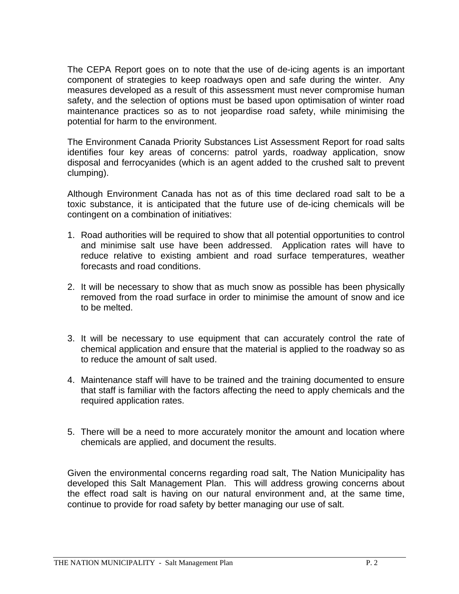The CEPA Report goes on to note that the use of de-icing agents is an important component of strategies to keep roadways open and safe during the winter. Any measures developed as a result of this assessment must never compromise human safety, and the selection of options must be based upon optimisation of winter road maintenance practices so as to not jeopardise road safety, while minimising the potential for harm to the environment.

The Environment Canada Priority Substances List Assessment Report for road salts identifies four key areas of concerns: patrol yards, roadway application, snow disposal and ferrocyanides (which is an agent added to the crushed salt to prevent clumping).

Although Environment Canada has not as of this time declared road salt to be a toxic substance, it is anticipated that the future use of de-icing chemicals will be contingent on a combination of initiatives:

- 1. Road authorities will be required to show that all potential opportunities to control and minimise salt use have been addressed. Application rates will have to reduce relative to existing ambient and road surface temperatures, weather forecasts and road conditions.
- 2. It will be necessary to show that as much snow as possible has been physically removed from the road surface in order to minimise the amount of snow and ice to be melted.
- 3. It will be necessary to use equipment that can accurately control the rate of chemical application and ensure that the material is applied to the roadway so as to reduce the amount of salt used.
- 4. Maintenance staff will have to be trained and the training documented to ensure that staff is familiar with the factors affecting the need to apply chemicals and the required application rates.
- 5. There will be a need to more accurately monitor the amount and location where chemicals are applied, and document the results.

Given the environmental concerns regarding road salt, The Nation Municipality has developed this Salt Management Plan. This will address growing concerns about the effect road salt is having on our natural environment and, at the same time, continue to provide for road safety by better managing our use of salt.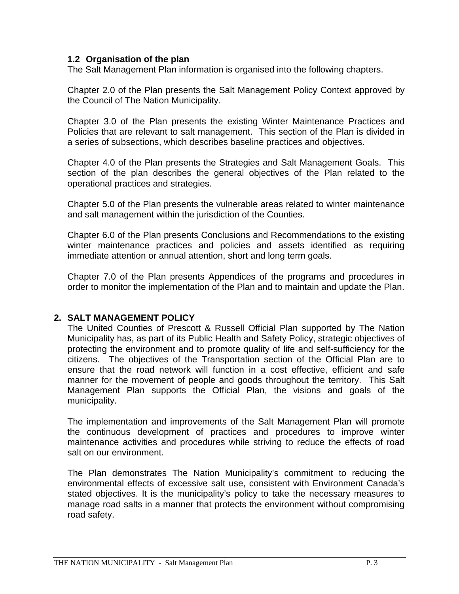### **1.2 Organisation of the plan**

The Salt Management Plan information is organised into the following chapters.

Chapter 2.0 of the Plan presents the Salt Management Policy Context approved by the Council of The Nation Municipality.

Chapter 3.0 of the Plan presents the existing Winter Maintenance Practices and Policies that are relevant to salt management. This section of the Plan is divided in a series of subsections, which describes baseline practices and objectives.

Chapter 4.0 of the Plan presents the Strategies and Salt Management Goals. This section of the plan describes the general objectives of the Plan related to the operational practices and strategies.

Chapter 5.0 of the Plan presents the vulnerable areas related to winter maintenance and salt management within the jurisdiction of the Counties.

Chapter 6.0 of the Plan presents Conclusions and Recommendations to the existing winter maintenance practices and policies and assets identified as requiring immediate attention or annual attention, short and long term goals.

Chapter 7.0 of the Plan presents Appendices of the programs and procedures in order to monitor the implementation of the Plan and to maintain and update the Plan.

### **2. SALT MANAGEMENT POLICY**

The United Counties of Prescott & Russell Official Plan supported by The Nation Municipality has, as part of its Public Health and Safety Policy, strategic objectives of protecting the environment and to promote quality of life and self-sufficiency for the citizens. The objectives of the Transportation section of the Official Plan are to ensure that the road network will function in a cost effective, efficient and safe manner for the movement of people and goods throughout the territory. This Salt Management Plan supports the Official Plan, the visions and goals of the municipality.

The implementation and improvements of the Salt Management Plan will promote the continuous development of practices and procedures to improve winter maintenance activities and procedures while striving to reduce the effects of road salt on our environment.

The Plan demonstrates The Nation Municipality's commitment to reducing the environmental effects of excessive salt use, consistent with Environment Canada's stated objectives. It is the municipality's policy to take the necessary measures to manage road salts in a manner that protects the environment without compromising road safety.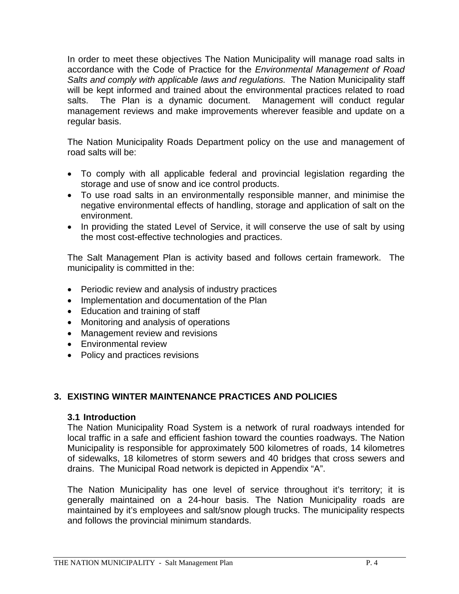In order to meet these objectives The Nation Municipality will manage road salts in accordance with the Code of Practice for the *Environmental Management of Road Salts and comply with applicable laws and regulations.* The Nation Municipality staff will be kept informed and trained about the environmental practices related to road salts. The Plan is a dynamic document. Management will conduct regular management reviews and make improvements wherever feasible and update on a regular basis.

The Nation Municipality Roads Department policy on the use and management of road salts will be:

- To comply with all applicable federal and provincial legislation regarding the storage and use of snow and ice control products.
- To use road salts in an environmentally responsible manner, and minimise the negative environmental effects of handling, storage and application of salt on the environment.
- In providing the stated Level of Service, it will conserve the use of salt by using the most cost-effective technologies and practices.

The Salt Management Plan is activity based and follows certain framework. The municipality is committed in the:

- Periodic review and analysis of industry practices
- Implementation and documentation of the Plan
- Education and training of staff
- Monitoring and analysis of operations
- Management review and revisions
- Environmental review
- Policy and practices revisions

# **3. EXISTING WINTER MAINTENANCE PRACTICES AND POLICIES**

# **3.1 Introduction**

The Nation Municipality Road System is a network of rural roadways intended for local traffic in a safe and efficient fashion toward the counties roadways. The Nation Municipality is responsible for approximately 500 kilometres of roads, 14 kilometres of sidewalks, 18 kilometres of storm sewers and 40 bridges that cross sewers and drains. The Municipal Road network is depicted in Appendix "A".

The Nation Municipality has one level of service throughout it's territory; it is generally maintained on a 24-hour basis. The Nation Municipality roads are maintained by it's employees and salt/snow plough trucks. The municipality respects and follows the provincial minimum standards.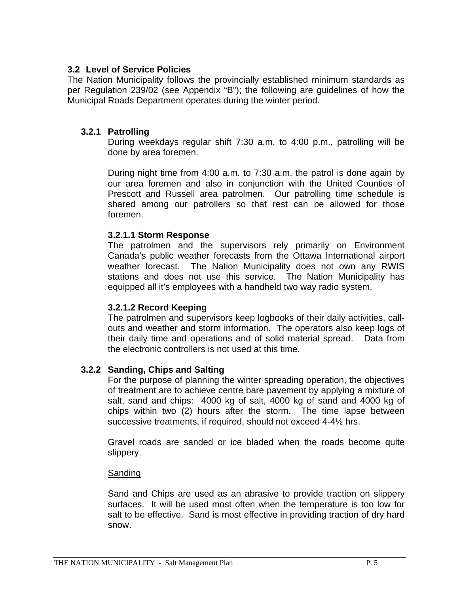### **3.2 Level of Service Policies**

The Nation Municipality follows the provincially established minimum standards as per Regulation 239/02 (see Appendix "B"); the following are guidelines of how the Municipal Roads Department operates during the winter period.

#### **3.2.1 Patrolling**

During weekdays regular shift 7:30 a.m. to 4:00 p.m., patrolling will be done by area foremen.

During night time from 4:00 a.m. to 7:30 a.m. the patrol is done again by our area foremen and also in conjunction with the United Counties of Prescott and Russell area patrolmen. Our patrolling time schedule is shared among our patrollers so that rest can be allowed for those foremen.

#### **3.2.1.1 Storm Response**

The patrolmen and the supervisors rely primarily on Environment Canada's public weather forecasts from the Ottawa International airport weather forecast. The Nation Municipality does not own any RWIS stations and does not use this service. The Nation Municipality has equipped all it's employees with a handheld two way radio system.

### **3.2.1.2 Record Keeping**

The patrolmen and supervisors keep logbooks of their daily activities, callouts and weather and storm information. The operators also keep logs of their daily time and operations and of solid material spread. Data from the electronic controllers is not used at this time.

### **3.2.2 Sanding, Chips and Salting**

For the purpose of planning the winter spreading operation, the objectives of treatment are to achieve centre bare pavement by applying a mixture of salt, sand and chips: 4000 kg of salt, 4000 kg of sand and 4000 kg of chips within two (2) hours after the storm. The time lapse between successive treatments, if required, should not exceed 4-4½ hrs.

Gravel roads are sanded or ice bladed when the roads become quite slippery.

#### Sanding

Sand and Chips are used as an abrasive to provide traction on slippery surfaces. It will be used most often when the temperature is too low for salt to be effective. Sand is most effective in providing traction of dry hard snow.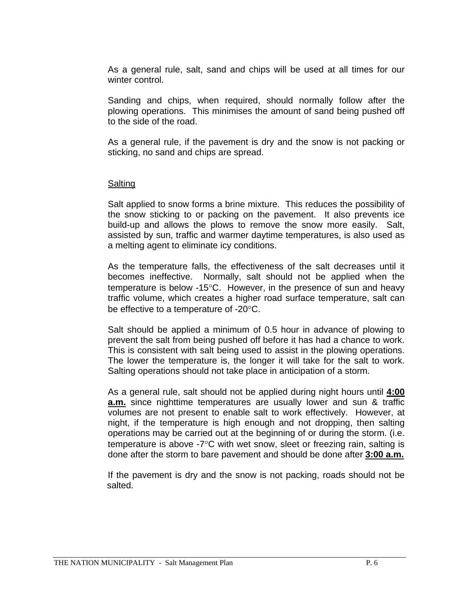As a general rule, salt, sand and chips will be used at all times for our winter control.

Sanding and chips, when required, should normally follow after the plowing operations. This minimises the amount of sand being pushed off to the side of the road.

As a general rule, if the pavement is dry and the snow is not packing or sticking, no sand and chips are spread.

#### Salting

Salt applied to snow forms a brine mixture. This reduces the possibility of the snow sticking to or packing on the pavement. It also prevents ice build-up and allows the plows to remove the snow more easily. Salt, assisted by sun, traffic and warmer daytime temperatures, is also used as a melting agent to eliminate icy conditions.

As the temperature falls, the effectiveness of the salt decreases until it becomes ineffective. Normally, salt should not be applied when the temperature is below -15°C. However, in the presence of sun and heavy traffic volume, which creates a higher road surface temperature, salt can be effective to a temperature of -20°C.

Salt should be applied a minimum of 0.5 hour in advance of plowing to prevent the salt from being pushed off before it has had a chance to work. This is consistent with salt being used to assist in the plowing operations. The lower the temperature is, the longer it will take for the salt to work. Salting operations should not take place in anticipation of a storm.

As a general rule, salt should not be applied during night hours until **4:00 a.m.** since nighttime temperatures are usually lower and sun & traffic volumes are not present to enable salt to work effectively. However, at night, if the temperature is high enough and not dropping, then salting operations may be carried out at the beginning of or during the storm. (i.e. temperature is above -7°C with wet snow, sleet or freezing rain, salting is done after the storm to bare pavement and should be done after **3:00 a.m.**

If the pavement is dry and the snow is not packing, roads should not be salted.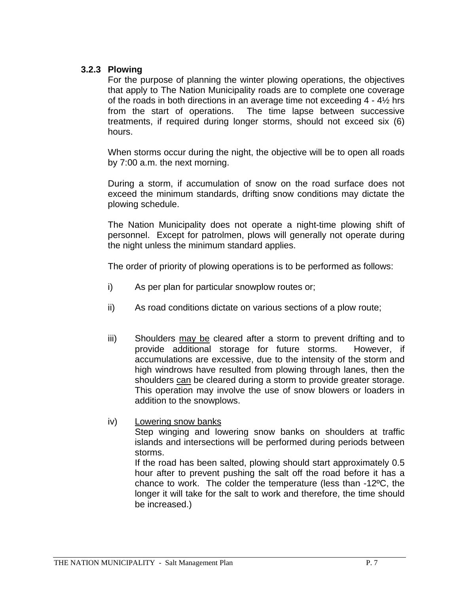### **3.2.3 Plowing**

For the purpose of planning the winter plowing operations, the objectives that apply to The Nation Municipality roads are to complete one coverage of the roads in both directions in an average time not exceeding 4 - 4½ hrs from the start of operations. The time lapse between successive treatments, if required during longer storms, should not exceed six (6) hours.

When storms occur during the night, the objective will be to open all roads by 7:00 a.m. the next morning.

During a storm, if accumulation of snow on the road surface does not exceed the minimum standards, drifting snow conditions may dictate the plowing schedule.

The Nation Municipality does not operate a night-time plowing shift of personnel. Except for patrolmen, plows will generally not operate during the night unless the minimum standard applies.

The order of priority of plowing operations is to be performed as follows:

- i) As per plan for particular snowplow routes or;
- ii) As road conditions dictate on various sections of a plow route;
- iii) Shoulders may be cleared after a storm to prevent drifting and to provide additional storage for future storms. However, if accumulations are excessive, due to the intensity of the storm and high windrows have resulted from plowing through lanes, then the shoulders can be cleared during a storm to provide greater storage. This operation may involve the use of snow blowers or loaders in addition to the snowplows.
- iv) Lowering snow banks

Step winging and lowering snow banks on shoulders at traffic islands and intersections will be performed during periods between storms.

If the road has been salted, plowing should start approximately 0.5 hour after to prevent pushing the salt off the road before it has a chance to work. The colder the temperature (less than -12ºC, the longer it will take for the salt to work and therefore, the time should be increased.)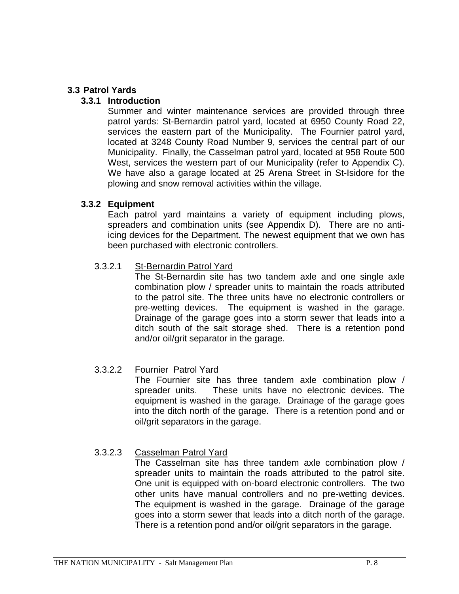### **3.3 Patrol Yards**

### **3.3.1 Introduction**

Summer and winter maintenance services are provided through three patrol yards: St-Bernardin patrol yard, located at 6950 County Road 22, services the eastern part of the Municipality. The Fournier patrol yard, located at 3248 County Road Number 9, services the central part of our Municipality. Finally, the Casselman patrol yard, located at 958 Route 500 West, services the western part of our Municipality (refer to Appendix C). We have also a garage located at 25 Arena Street in St-Isidore for the plowing and snow removal activities within the village.

### **3.3.2 Equipment**

Each patrol yard maintains a variety of equipment including plows, spreaders and combination units (see Appendix D). There are no antiicing devices for the Department. The newest equipment that we own has been purchased with electronic controllers.

### 3.3.2.1 St-Bernardin Patrol Yard

The St-Bernardin site has two tandem axle and one single axle combination plow / spreader units to maintain the roads attributed to the patrol site. The three units have no electronic controllers or pre-wetting devices. The equipment is washed in the garage. Drainage of the garage goes into a storm sewer that leads into a ditch south of the salt storage shed. There is a retention pond and/or oil/grit separator in the garage.

# 3.3.2.2 Fournier Patrol Yard

The Fournier site has three tandem axle combination plow / spreader units. These units have no electronic devices. The equipment is washed in the garage. Drainage of the garage goes into the ditch north of the garage. There is a retention pond and or oil/grit separators in the garage.

# 3.3.2.3 Casselman Patrol Yard

The Casselman site has three tandem axle combination plow / spreader units to maintain the roads attributed to the patrol site. One unit is equipped with on-board electronic controllers. The two other units have manual controllers and no pre-wetting devices. The equipment is washed in the garage. Drainage of the garage goes into a storm sewer that leads into a ditch north of the garage. There is a retention pond and/or oil/grit separators in the garage.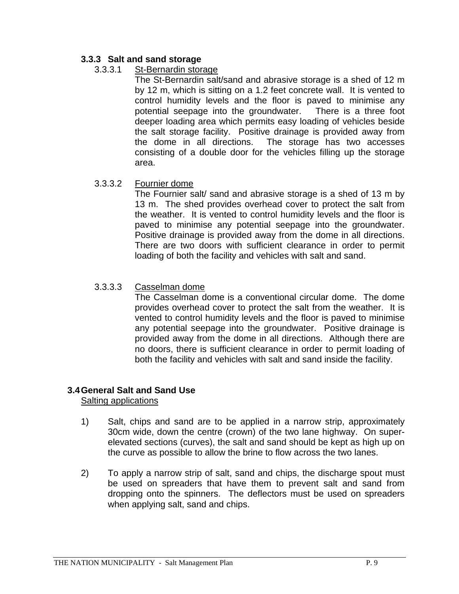# **3.3.3 Salt and sand storage**

### 3.3.3.1 St-Bernardin storage

The St-Bernardin salt/sand and abrasive storage is a shed of 12 m by 12 m, which is sitting on a 1.2 feet concrete wall. It is vented to control humidity levels and the floor is paved to minimise any potential seepage into the groundwater. There is a three foot deeper loading area which permits easy loading of vehicles beside the salt storage facility. Positive drainage is provided away from the dome in all directions. The storage has two accesses consisting of a double door for the vehicles filling up the storage area.

### 3.3.3.2 Fournier dome

The Fournier salt/ sand and abrasive storage is a shed of 13 m by 13 m. The shed provides overhead cover to protect the salt from the weather. It is vented to control humidity levels and the floor is paved to minimise any potential seepage into the groundwater. Positive drainage is provided away from the dome in all directions. There are two doors with sufficient clearance in order to permit loading of both the facility and vehicles with salt and sand.

### 3.3.3.3 Casselman dome

The Casselman dome is a conventional circular dome. The dome provides overhead cover to protect the salt from the weather. It is vented to control humidity levels and the floor is paved to minimise any potential seepage into the groundwater. Positive drainage is provided away from the dome in all directions. Although there are no doors, there is sufficient clearance in order to permit loading of both the facility and vehicles with salt and sand inside the facility.

# **3.4 General Salt and Sand Use**

Salting applications

- 1) Salt, chips and sand are to be applied in a narrow strip, approximately 30cm wide, down the centre (crown) of the two lane highway. On superelevated sections (curves), the salt and sand should be kept as high up on the curve as possible to allow the brine to flow across the two lanes.
- 2) To apply a narrow strip of salt, sand and chips, the discharge spout must be used on spreaders that have them to prevent salt and sand from dropping onto the spinners. The deflectors must be used on spreaders when applying salt, sand and chips.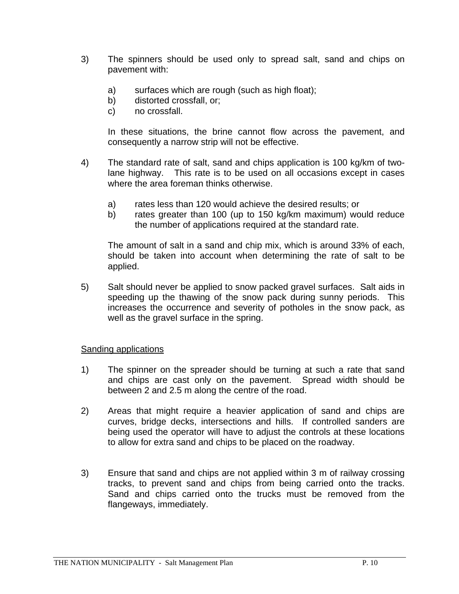- 3) The spinners should be used only to spread salt, sand and chips on pavement with:
	- a) surfaces which are rough (such as high float);
	- b) distorted crossfall, or;
	- c) no crossfall.

In these situations, the brine cannot flow across the pavement, and consequently a narrow strip will not be effective.

- 4) The standard rate of salt, sand and chips application is 100 kg/km of twolane highway. This rate is to be used on all occasions except in cases where the area foreman thinks otherwise.
	- a) rates less than 120 would achieve the desired results; or
	- b) rates greater than 100 (up to 150 kg/km maximum) would reduce the number of applications required at the standard rate.

The amount of salt in a sand and chip mix, which is around 33% of each, should be taken into account when determining the rate of salt to be applied.

5) Salt should never be applied to snow packed gravel surfaces. Salt aids in speeding up the thawing of the snow pack during sunny periods. This increases the occurrence and severity of potholes in the snow pack, as well as the gravel surface in the spring.

### Sanding applications

- 1) The spinner on the spreader should be turning at such a rate that sand and chips are cast only on the pavement. Spread width should be between 2 and 2.5 m along the centre of the road.
- 2) Areas that might require a heavier application of sand and chips are curves, bridge decks, intersections and hills. If controlled sanders are being used the operator will have to adjust the controls at these locations to allow for extra sand and chips to be placed on the roadway.
- 3) Ensure that sand and chips are not applied within 3 m of railway crossing tracks, to prevent sand and chips from being carried onto the tracks. Sand and chips carried onto the trucks must be removed from the flangeways, immediately.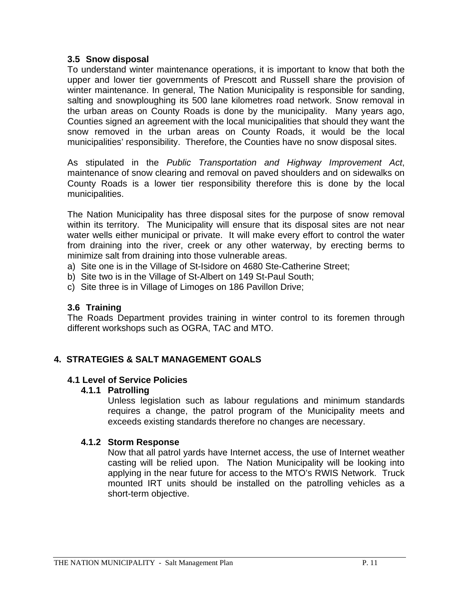### **3.5 Snow disposal**

To understand winter maintenance operations, it is important to know that both the upper and lower tier governments of Prescott and Russell share the provision of winter maintenance. In general, The Nation Municipality is responsible for sanding, salting and snowploughing its 500 lane kilometres road network. Snow removal in the urban areas on County Roads is done by the municipality. Many years ago, Counties signed an agreement with the local municipalities that should they want the snow removed in the urban areas on County Roads, it would be the local municipalities' responsibility. Therefore, the Counties have no snow disposal sites.

As stipulated in the *Public Transportation and Highway Improvement Act*, maintenance of snow clearing and removal on paved shoulders and on sidewalks on County Roads is a lower tier responsibility therefore this is done by the local municipalities.

The Nation Municipality has three disposal sites for the purpose of snow removal within its territory. The Municipality will ensure that its disposal sites are not near water wells either municipal or private. It will make every effort to control the water from draining into the river, creek or any other waterway, by erecting berms to minimize salt from draining into those vulnerable areas.

- a) Site one is in the Village of St-Isidore on 4680 Ste-Catherine Street;
- b) Site two is in the Village of St-Albert on 149 St-Paul South;
- c) Site three is in Village of Limoges on 186 Pavillon Drive;

# **3.6 Training**

The Roads Department provides training in winter control to its foremen through different workshops such as OGRA, TAC and MTO.

# **4. STRATEGIES & SALT MANAGEMENT GOALS**

### **4.1 Level of Service Policies**

### **4.1.1 Patrolling**

Unless legislation such as labour regulations and minimum standards requires a change, the patrol program of the Municipality meets and exceeds existing standards therefore no changes are necessary.

### **4.1.2 Storm Response**

Now that all patrol yards have Internet access, the use of Internet weather casting will be relied upon. The Nation Municipality will be looking into applying in the near future for access to the MTO's RWIS Network. Truck mounted IRT units should be installed on the patrolling vehicles as a short-term objective.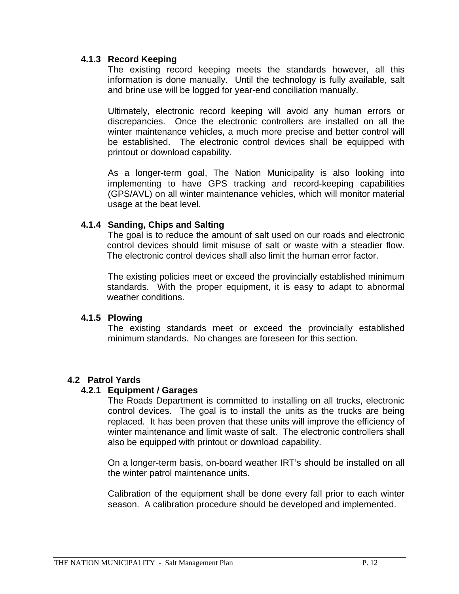### **4.1.3 Record Keeping**

The existing record keeping meets the standards however, all this information is done manually. Until the technology is fully available, salt and brine use will be logged for year-end conciliation manually.

Ultimately, electronic record keeping will avoid any human errors or discrepancies. Once the electronic controllers are installed on all the winter maintenance vehicles, a much more precise and better control will be established. The electronic control devices shall be equipped with printout or download capability.

As a longer-term goal, The Nation Municipality is also looking into implementing to have GPS tracking and record-keeping capabilities (GPS/AVL) on all winter maintenance vehicles, which will monitor material usage at the beat level.

### **4.1.4 Sanding, Chips and Salting**

The goal is to reduce the amount of salt used on our roads and electronic control devices should limit misuse of salt or waste with a steadier flow. The electronic control devices shall also limit the human error factor.

The existing policies meet or exceed the provincially established minimum standards. With the proper equipment, it is easy to adapt to abnormal weather conditions.

### **4.1.5 Plowing**

The existing standards meet or exceed the provincially established minimum standards. No changes are foreseen for this section.

# **4.2 Patrol Yards**

### **4.2.1 Equipment / Garages**

The Roads Department is committed to installing on all trucks, electronic control devices. The goal is to install the units as the trucks are being replaced. It has been proven that these units will improve the efficiency of winter maintenance and limit waste of salt. The electronic controllers shall also be equipped with printout or download capability.

On a longer-term basis, on-board weather IRT's should be installed on all the winter patrol maintenance units.

Calibration of the equipment shall be done every fall prior to each winter season. A calibration procedure should be developed and implemented.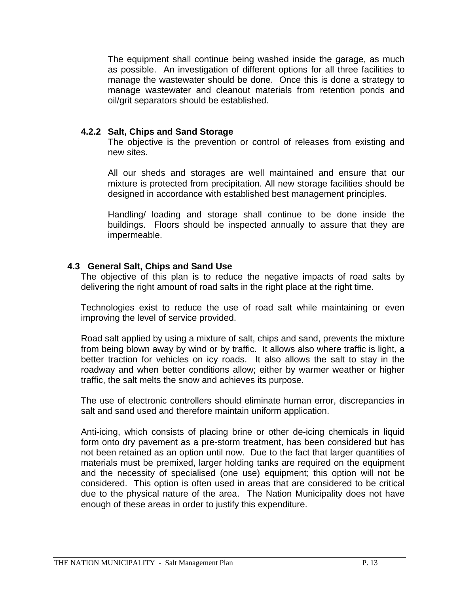The equipment shall continue being washed inside the garage, as much as possible. An investigation of different options for all three facilities to manage the wastewater should be done. Once this is done a strategy to manage wastewater and cleanout materials from retention ponds and oil/grit separators should be established.

### **4.2.2 Salt, Chips and Sand Storage**

The objective is the prevention or control of releases from existing and new sites.

All our sheds and storages are well maintained and ensure that our mixture is protected from precipitation. All new storage facilities should be designed in accordance with established best management principles.

Handling/ loading and storage shall continue to be done inside the buildings. Floors should be inspected annually to assure that they are impermeable.

# **4.3 General Salt, Chips and Sand Use**

The objective of this plan is to reduce the negative impacts of road salts by delivering the right amount of road salts in the right place at the right time.

Technologies exist to reduce the use of road salt while maintaining or even improving the level of service provided.

Road salt applied by using a mixture of salt, chips and sand, prevents the mixture from being blown away by wind or by traffic. It allows also where traffic is light, a better traction for vehicles on icy roads. It also allows the salt to stay in the roadway and when better conditions allow; either by warmer weather or higher traffic, the salt melts the snow and achieves its purpose.

The use of electronic controllers should eliminate human error, discrepancies in salt and sand used and therefore maintain uniform application.

Anti-icing, which consists of placing brine or other de-icing chemicals in liquid form onto dry pavement as a pre-storm treatment, has been considered but has not been retained as an option until now. Due to the fact that larger quantities of materials must be premixed, larger holding tanks are required on the equipment and the necessity of specialised (one use) equipment; this option will not be considered. This option is often used in areas that are considered to be critical due to the physical nature of the area. The Nation Municipality does not have enough of these areas in order to justify this expenditure.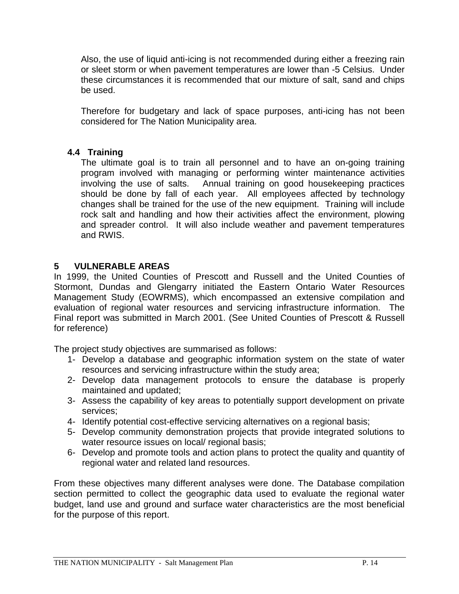Also, the use of liquid anti-icing is not recommended during either a freezing rain or sleet storm or when pavement temperatures are lower than -5 Celsius. Under these circumstances it is recommended that our mixture of salt, sand and chips be used.

Therefore for budgetary and lack of space purposes, anti-icing has not been considered for The Nation Municipality area.

### **4.4 Training**

The ultimate goal is to train all personnel and to have an on-going training program involved with managing or performing winter maintenance activities involving the use of salts. Annual training on good housekeeping practices should be done by fall of each year. All employees affected by technology changes shall be trained for the use of the new equipment. Training will include rock salt and handling and how their activities affect the environment, plowing and spreader control. It will also include weather and pavement temperatures and RWIS.

### **5 VULNERABLE AREAS**

In 1999, the United Counties of Prescott and Russell and the United Counties of Stormont, Dundas and Glengarry initiated the Eastern Ontario Water Resources Management Study (EOWRMS), which encompassed an extensive compilation and evaluation of regional water resources and servicing infrastructure information. The Final report was submitted in March 2001. (See United Counties of Prescott & Russell for reference)

The project study objectives are summarised as follows:

- 1- Develop a database and geographic information system on the state of water resources and servicing infrastructure within the study area;
- 2- Develop data management protocols to ensure the database is properly maintained and updated;
- 3- Assess the capability of key areas to potentially support development on private services;
- 4- Identify potential cost-effective servicing alternatives on a regional basis;
- 5- Develop community demonstration projects that provide integrated solutions to water resource issues on local/ regional basis;
- 6- Develop and promote tools and action plans to protect the quality and quantity of regional water and related land resources.

From these objectives many different analyses were done. The Database compilation section permitted to collect the geographic data used to evaluate the regional water budget, land use and ground and surface water characteristics are the most beneficial for the purpose of this report.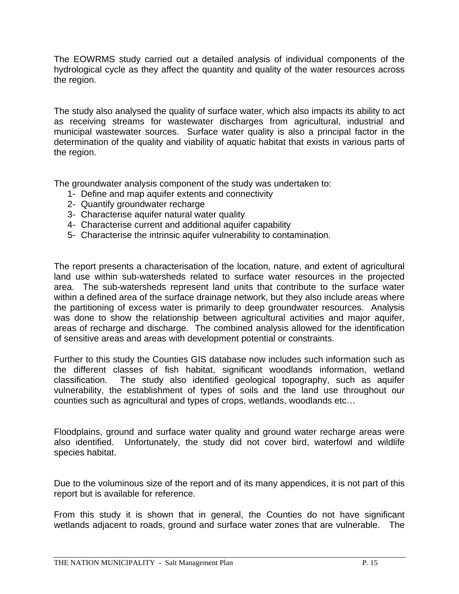The EOWRMS study carried out a detailed analysis of individual components of the hydrological cycle as they affect the quantity and quality of the water resources across the region.

The study also analysed the quality of surface water, which also impacts its ability to act as receiving streams for wastewater discharges from agricultural, industrial and municipal wastewater sources. Surface water quality is also a principal factor in the determination of the quality and viability of aquatic habitat that exists in various parts of the region.

The groundwater analysis component of the study was undertaken to:

- 1- Define and map aquifer extents and connectivity
- 2- Quantify groundwater recharge
- 3- Characterise aquifer natural water quality
- 4- Characterise current and additional aquifer capability
- 5- Characterise the intrinsic aquifer vulnerability to contamination.

The report presents a characterisation of the location, nature, and extent of agricultural land use within sub-watersheds related to surface water resources in the projected area. The sub-watersheds represent land units that contribute to the surface water within a defined area of the surface drainage network, but they also include areas where the partitioning of excess water is primarily to deep groundwater resources. Analysis was done to show the relationship between agricultural activities and major aquifer, areas of recharge and discharge. The combined analysis allowed for the identification of sensitive areas and areas with development potential or constraints.

Further to this study the Counties GIS database now includes such information such as the different classes of fish habitat, significant woodlands information, wetland classification. The study also identified geological topography, such as aquifer vulnerability, the establishment of types of soils and the land use throughout our counties such as agricultural and types of crops, wetlands, woodlands etc…

Floodplains, ground and surface water quality and ground water recharge areas were also identified. Unfortunately, the study did not cover bird, waterfowl and wildlife species habitat.

Due to the voluminous size of the report and of its many appendices, it is not part of this report but is available for reference.

From this study it is shown that in general, the Counties do not have significant wetlands adjacent to roads, ground and surface water zones that are vulnerable. The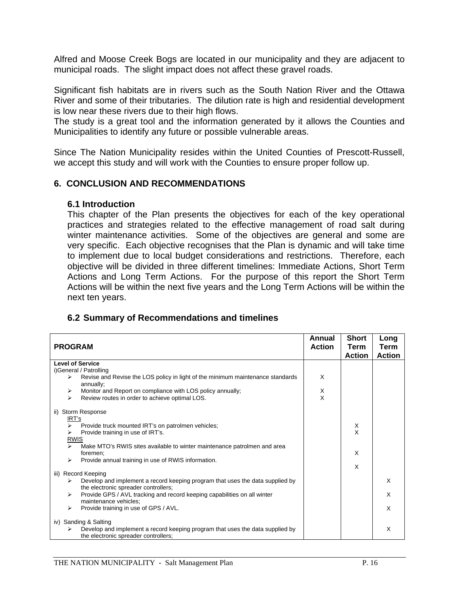Alfred and Moose Creek Bogs are located in our municipality and they are adjacent to municipal roads. The slight impact does not affect these gravel roads.

Significant fish habitats are in rivers such as the South Nation River and the Ottawa River and some of their tributaries. The dilution rate is high and residential development is low near these rivers due to their high flows.

The study is a great tool and the information generated by it allows the Counties and Municipalities to identify any future or possible vulnerable areas.

Since The Nation Municipality resides within the United Counties of Prescott-Russell, we accept this study and will work with the Counties to ensure proper follow up.

### **6. CONCLUSION AND RECOMMENDATIONS**

#### **6.1 Introduction**

This chapter of the Plan presents the objectives for each of the key operational practices and strategies related to the effective management of road salt during winter maintenance activities. Some of the objectives are general and some are very specific. Each objective recognises that the Plan is dynamic and will take time to implement due to local budget considerations and restrictions. Therefore, each objective will be divided in three different timelines: Immediate Actions, Short Term Actions and Long Term Actions. For the purpose of this report the Short Term Actions will be within the next five years and the Long Term Actions will be within the next ten years.

# **6.2 Summary of Recommendations and timelines**

| <b>PROGRAM</b>                                                                                    | Annual<br><b>Action</b> | <b>Short</b><br>Term<br><b>Action</b> | Long<br>Term<br><b>Action</b> |
|---------------------------------------------------------------------------------------------------|-------------------------|---------------------------------------|-------------------------------|
| <b>Level of Service</b>                                                                           |                         |                                       |                               |
| i)General / Patrolling                                                                            |                         |                                       |                               |
| Revise and Revise the LOS policy in light of the minimum maintenance standards<br>➤               | X                       |                                       |                               |
| annually;                                                                                         |                         |                                       |                               |
| Monitor and Report on compliance with LOS policy annually;<br>➤                                   | X<br>X                  |                                       |                               |
| $\blacktriangleright$<br>Review routes in order to achieve optimal LOS.                           |                         |                                       |                               |
| ii) Storm Response                                                                                |                         |                                       |                               |
| IRT's                                                                                             |                         |                                       |                               |
| Provide truck mounted IRT's on patrolmen vehicles;<br>⋗                                           |                         | X                                     |                               |
| Provide training in use of IRT's.                                                                 |                         | X                                     |                               |
| <b>RWIS</b>                                                                                       |                         |                                       |                               |
| Make MTO's RWIS sites available to winter maintenance patrolmen and area<br>$\blacktriangleright$ |                         |                                       |                               |
| foremen;                                                                                          |                         | X                                     |                               |
| Provide annual training in use of RWIS information.<br>⋗                                          |                         |                                       |                               |
|                                                                                                   |                         | X                                     |                               |
| Record Keeping<br>iii)                                                                            |                         |                                       |                               |
| Develop and implement a record keeping program that uses the data supplied by<br>⋗                |                         |                                       | X                             |
| the electronic spreader controllers;                                                              |                         |                                       |                               |
| Provide GPS / AVL tracking and record keeping capabilities on all winter<br>⋗                     |                         |                                       | X                             |
| maintenance vehicles;                                                                             |                         |                                       |                               |
| Provide training in use of GPS / AVL.<br>➤                                                        |                         |                                       | X                             |
| iv) Sanding & Salting                                                                             |                         |                                       |                               |
| Develop and implement a record keeping program that uses the data supplied by                     |                         |                                       | X                             |
| the electronic spreader controllers;                                                              |                         |                                       |                               |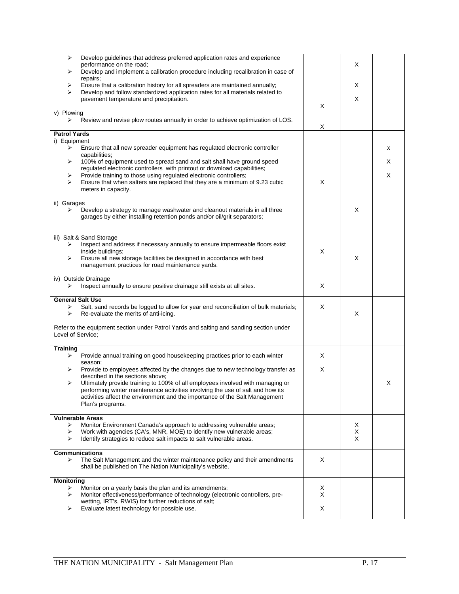| Develop guidelines that address preferred application rates and experience<br>➤                                                                                          |   |   |   |
|--------------------------------------------------------------------------------------------------------------------------------------------------------------------------|---|---|---|
| performance on the road;                                                                                                                                                 |   | X |   |
| Develop and implement a calibration procedure including recalibration in case of<br>⋗                                                                                    |   |   |   |
| repairs;                                                                                                                                                                 |   |   |   |
| Ensure that a calibration history for all spreaders are maintained annually;<br>➤<br>⋗<br>Develop and follow standardized application rates for all materials related to |   | Х |   |
| pavement temperature and precipitation.                                                                                                                                  |   | X |   |
|                                                                                                                                                                          | X |   |   |
| v) Plowing                                                                                                                                                               |   |   |   |
| Review and revise plow routes annually in order to achieve optimization of LOS.<br>⋗                                                                                     |   |   |   |
|                                                                                                                                                                          | X |   |   |
| <b>Patrol Yards</b>                                                                                                                                                      |   |   |   |
| i) Equipment                                                                                                                                                             |   |   |   |
| Ensure that all new spreader equipment has regulated electronic controller<br>➤                                                                                          |   |   | х |
| capabilities;<br>100% of equipment used to spread sand and salt shall have ground speed<br>⋗                                                                             |   |   | X |
| regulated electronic controllers with printout or download capabilities;                                                                                                 |   |   |   |
| Provide training to those using regulated electronic controllers;<br>➤                                                                                                   |   |   | X |
| ↘<br>Ensure that when salters are replaced that they are a minimum of 9.23 cubic                                                                                         | X |   |   |
| meters in capacity.                                                                                                                                                      |   |   |   |
|                                                                                                                                                                          |   |   |   |
| ii) Garages                                                                                                                                                              |   |   |   |
| Develop a strategy to manage washwater and cleanout materials in all three<br>⋗                                                                                          |   | X |   |
| garages by either installing retention ponds and/or oil/grit separators;                                                                                                 |   |   |   |
|                                                                                                                                                                          |   |   |   |
|                                                                                                                                                                          |   |   |   |
| iii) Salt & Sand Storage                                                                                                                                                 |   |   |   |
| Inspect and address if necessary annually to ensure impermeable floors exist<br>➤<br>inside buildings;                                                                   | X |   |   |
| ⋗                                                                                                                                                                        |   | X |   |
| Ensure all new storage facilities be designed in accordance with best<br>management practices for road maintenance yards.                                                |   |   |   |
|                                                                                                                                                                          |   |   |   |
| iv) Outside Drainage                                                                                                                                                     |   |   |   |
| Inspect annually to ensure positive drainage still exists at all sites.<br>⋗                                                                                             | X |   |   |
|                                                                                                                                                                          |   |   |   |
| <b>General Salt Use</b>                                                                                                                                                  |   |   |   |
| Salt, sand records be logged to allow for year end reconciliation of bulk materials;<br>➤                                                                                | X |   |   |
| Re-evaluate the merits of anti-icing.<br>⋗                                                                                                                               |   | Х |   |
|                                                                                                                                                                          |   |   |   |
| Refer to the equipment section under Patrol Yards and salting and sanding section under<br>Level of Service;                                                             |   |   |   |
|                                                                                                                                                                          |   |   |   |
| Training                                                                                                                                                                 |   |   |   |
| Provide annual training on good housekeeping practices prior to each winter<br>⋗                                                                                         | X |   |   |
| season;                                                                                                                                                                  |   |   |   |
| Provide to employees affected by the changes due to new technology transfer as<br>➤                                                                                      | X |   |   |
| described in the sections above;                                                                                                                                         |   |   |   |
| Ultimately provide training to 100% of all employees involved with managing or<br>⋗                                                                                      |   |   | X |
| performing winter maintenance activities involving the use of salt and how its                                                                                           |   |   |   |
| activities affect the environment and the importance of the Salt Management                                                                                              |   |   |   |
| Plan's programs.                                                                                                                                                         |   |   |   |
| <b>Vulnerable Areas</b>                                                                                                                                                  |   |   |   |
| Monitor Environment Canada's approach to addressing vulnerable areas;<br>⋗                                                                                               |   | X |   |
| Work with agencies (CA's, MNR, MOE) to identify new vulnerable areas;<br>➤                                                                                               |   | X |   |
| Identify strategies to reduce salt impacts to salt vulnerable areas.<br>⋗                                                                                                |   | X |   |
|                                                                                                                                                                          |   |   |   |
| <b>Communications</b>                                                                                                                                                    |   |   |   |
| ➤<br>The Salt Management and the winter maintenance policy and their amendments                                                                                          | Χ |   |   |
| shall be published on The Nation Municipality's website.                                                                                                                 |   |   |   |
|                                                                                                                                                                          |   |   |   |
| <b>Monitoring</b>                                                                                                                                                        |   |   |   |
| Monitor on a yearly basis the plan and its amendments;<br>➤                                                                                                              | X |   |   |
| Monitor effectiveness/performance of technology (electronic controllers, pre-<br>⋗                                                                                       | X |   |   |
| wetting, IRT's, RWIS) for further reductions of salt;<br>Evaluate latest technology for possible use.<br>⋗                                                               | Χ |   |   |
|                                                                                                                                                                          |   |   |   |